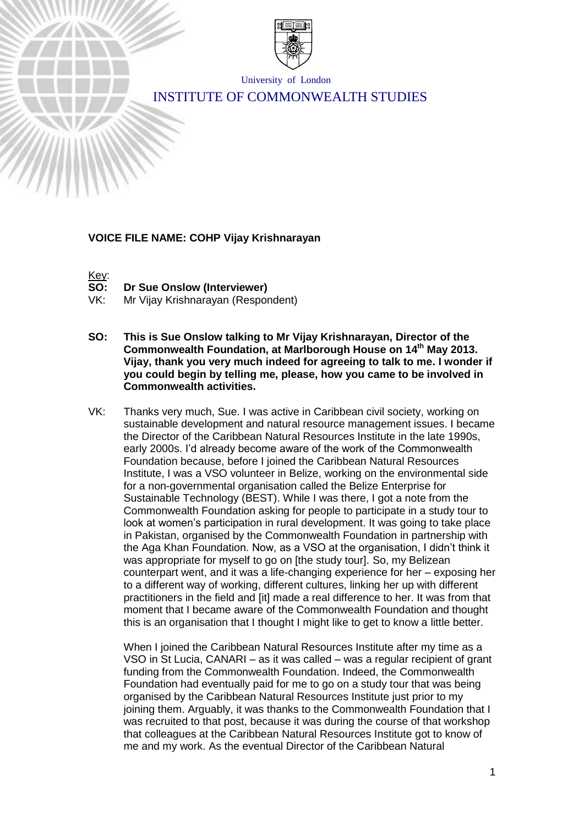

University of London

# INSTITUTE OF COMMONWEALTH STUDIES

#### **VOICE FILE NAME: COHP Vijay Krishnarayan**



**Dr Sue Onslow (Interviewer)** 

VK: Mr Vijay Krishnarayan (Respondent)

- **SO: This is Sue Onslow talking to Mr Vijay Krishnarayan, Director of the Commonwealth Foundation, at Marlborough House on 14th May 2013. Vijay, thank you very much indeed for agreeing to talk to me. I wonder if you could begin by telling me, please, how you came to be involved in Commonwealth activities.**
- VK: Thanks very much, Sue. I was active in Caribbean civil society, working on sustainable development and natural resource management issues. I became the Director of the Caribbean Natural Resources Institute in the late 1990s, early 2000s. I'd already become aware of the work of the Commonwealth Foundation because, before I joined the Caribbean Natural Resources Institute, I was a VSO volunteer in Belize, working on the environmental side for a non-governmental organisation called the Belize Enterprise for Sustainable Technology (BEST). While I was there, I got a note from the Commonwealth Foundation asking for people to participate in a study tour to look at women's participation in rural development. It was going to take place in Pakistan, organised by the Commonwealth Foundation in partnership with the Aga Khan Foundation. Now, as a VSO at the organisation, I didn't think it was appropriate for myself to go on [the study tour]. So, my Belizean counterpart went, and it was a life-changing experience for her – exposing her to a different way of working, different cultures, linking her up with different practitioners in the field and [it] made a real difference to her. It was from that moment that I became aware of the Commonwealth Foundation and thought this is an organisation that I thought I might like to get to know a little better.

When I joined the Caribbean Natural Resources Institute after my time as a VSO in St Lucia, CANARI – as it was called – was a regular recipient of grant funding from the Commonwealth Foundation. Indeed, the Commonwealth Foundation had eventually paid for me to go on a study tour that was being organised by the Caribbean Natural Resources Institute just prior to my joining them. Arguably, it was thanks to the Commonwealth Foundation that I was recruited to that post, because it was during the course of that workshop that colleagues at the Caribbean Natural Resources Institute got to know of me and my work. As the eventual Director of the Caribbean Natural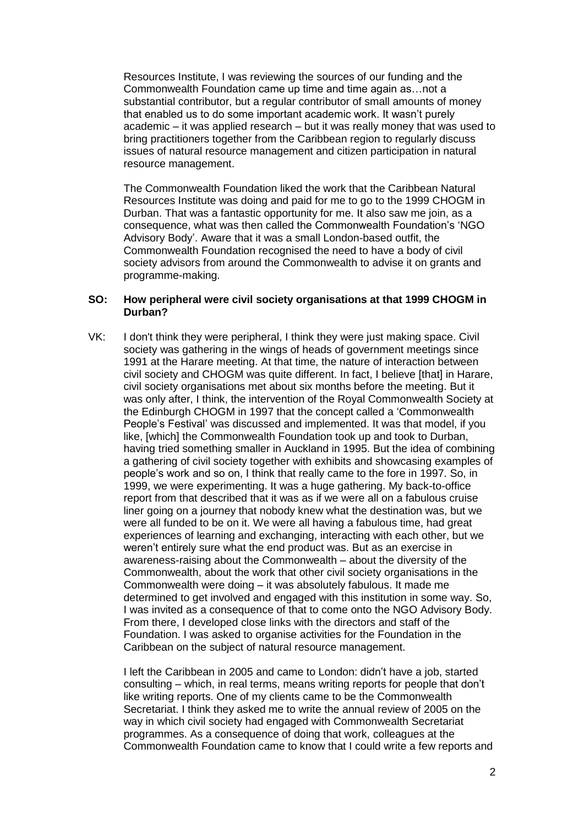Resources Institute, I was reviewing the sources of our funding and the Commonwealth Foundation came up time and time again as…not a substantial contributor, but a regular contributor of small amounts of money that enabled us to do some important academic work. It wasn't purely academic – it was applied research – but it was really money that was used to bring practitioners together from the Caribbean region to regularly discuss issues of natural resource management and citizen participation in natural resource management.

The Commonwealth Foundation liked the work that the Caribbean Natural Resources Institute was doing and paid for me to go to the 1999 CHOGM in Durban. That was a fantastic opportunity for me. It also saw me join, as a consequence, what was then called the Commonwealth Foundation's 'NGO Advisory Body'. Aware that it was a small London-based outfit, the Commonwealth Foundation recognised the need to have a body of civil society advisors from around the Commonwealth to advise it on grants and programme-making.

#### **SO: How peripheral were civil society organisations at that 1999 CHOGM in Durban?**

VK: I don't think they were peripheral, I think they were just making space. Civil society was gathering in the wings of heads of government meetings since 1991 at the Harare meeting. At that time, the nature of interaction between civil society and CHOGM was quite different. In fact, I believe [that] in Harare, civil society organisations met about six months before the meeting. But it was only after, I think, the intervention of the Royal Commonwealth Society at the Edinburgh CHOGM in 1997 that the concept called a 'Commonwealth People's Festival' was discussed and implemented. It was that model, if you like, [which] the Commonwealth Foundation took up and took to Durban, having tried something smaller in Auckland in 1995. But the idea of combining a gathering of civil society together with exhibits and showcasing examples of people's work and so on, I think that really came to the fore in 1997. So, in 1999, we were experimenting. It was a huge gathering. My back-to-office report from that described that it was as if we were all on a fabulous cruise liner going on a journey that nobody knew what the destination was, but we were all funded to be on it. We were all having a fabulous time, had great experiences of learning and exchanging, interacting with each other, but we weren't entirely sure what the end product was. But as an exercise in awareness-raising about the Commonwealth – about the diversity of the Commonwealth, about the work that other civil society organisations in the Commonwealth were doing – it was absolutely fabulous. It made me determined to get involved and engaged with this institution in some way. So, I was invited as a consequence of that to come onto the NGO Advisory Body. From there, I developed close links with the directors and staff of the Foundation. I was asked to organise activities for the Foundation in the Caribbean on the subject of natural resource management.

I left the Caribbean in 2005 and came to London: didn't have a job, started consulting – which, in real terms, means writing reports for people that don't like writing reports. One of my clients came to be the Commonwealth Secretariat. I think they asked me to write the annual review of 2005 on the way in which civil society had engaged with Commonwealth Secretariat programmes. As a consequence of doing that work, colleagues at the Commonwealth Foundation came to know that I could write a few reports and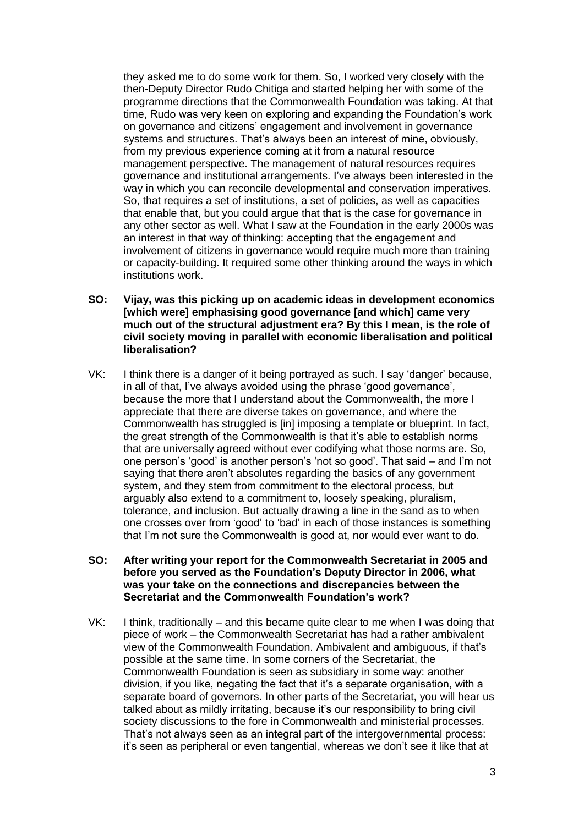they asked me to do some work for them. So, I worked very closely with the then-Deputy Director Rudo Chitiga and started helping her with some of the programme directions that the Commonwealth Foundation was taking. At that time, Rudo was very keen on exploring and expanding the Foundation's work on governance and citizens' engagement and involvement in governance systems and structures. That's always been an interest of mine, obviously, from my previous experience coming at it from a natural resource management perspective. The management of natural resources requires governance and institutional arrangements. I've always been interested in the way in which you can reconcile developmental and conservation imperatives. So, that requires a set of institutions, a set of policies, as well as capacities that enable that, but you could argue that that is the case for governance in any other sector as well. What I saw at the Foundation in the early 2000s was an interest in that way of thinking: accepting that the engagement and involvement of citizens in governance would require much more than training or capacity-building. It required some other thinking around the ways in which institutions work.

- **SO: Vijay, was this picking up on academic ideas in development economics [which were] emphasising good governance [and which] came very much out of the structural adjustment era? By this I mean, is the role of civil society moving in parallel with economic liberalisation and political liberalisation?**
- VK: I think there is a danger of it being portrayed as such. I say 'danger' because, in all of that, I've always avoided using the phrase 'good governance', because the more that I understand about the Commonwealth, the more I appreciate that there are diverse takes on governance, and where the Commonwealth has struggled is [in] imposing a template or blueprint. In fact, the great strength of the Commonwealth is that it's able to establish norms that are universally agreed without ever codifying what those norms are. So, one person's 'good' is another person's 'not so good'. That said – and I'm not saying that there aren't absolutes regarding the basics of any government system, and they stem from commitment to the electoral process, but arguably also extend to a commitment to, loosely speaking, pluralism, tolerance, and inclusion. But actually drawing a line in the sand as to when one crosses over from 'good' to 'bad' in each of those instances is something that I'm not sure the Commonwealth is good at, nor would ever want to do.
- **SO: After writing your report for the Commonwealth Secretariat in 2005 and before you served as the Foundation's Deputy Director in 2006, what was your take on the connections and discrepancies between the Secretariat and the Commonwealth Foundation's work?**
- VK: I think, traditionally and this became quite clear to me when I was doing that piece of work – the Commonwealth Secretariat has had a rather ambivalent view of the Commonwealth Foundation. Ambivalent and ambiguous, if that's possible at the same time. In some corners of the Secretariat, the Commonwealth Foundation is seen as subsidiary in some way: another division, if you like, negating the fact that it's a separate organisation, with a separate board of governors. In other parts of the Secretariat, you will hear us talked about as mildly irritating, because it's our responsibility to bring civil society discussions to the fore in Commonwealth and ministerial processes. That's not always seen as an integral part of the intergovernmental process: it's seen as peripheral or even tangential, whereas we don't see it like that at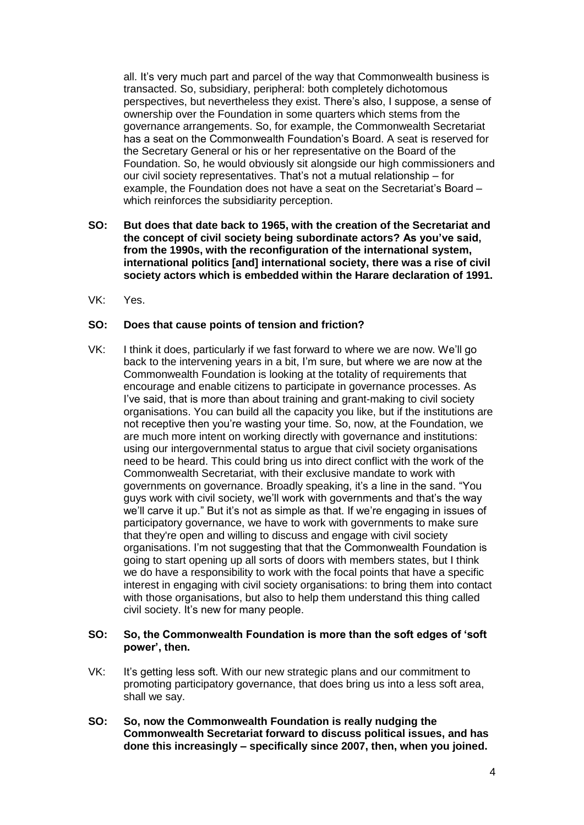all. It's very much part and parcel of the way that Commonwealth business is transacted. So, subsidiary, peripheral: both completely dichotomous perspectives, but nevertheless they exist. There's also, I suppose, a sense of ownership over the Foundation in some quarters which stems from the governance arrangements. So, for example, the Commonwealth Secretariat has a seat on the Commonwealth Foundation's Board. A seat is reserved for the Secretary General or his or her representative on the Board of the Foundation. So, he would obviously sit alongside our high commissioners and our civil society representatives. That's not a mutual relationship – for example, the Foundation does not have a seat on the Secretariat's Board – which reinforces the subsidiarity perception.

- **SO: But does that date back to 1965, with the creation of the Secretariat and the concept of civil society being subordinate actors? As you've said, from the 1990s, with the reconfiguration of the international system, international politics [and] international society, there was a rise of civil society actors which is embedded within the Harare declaration of 1991.**
- VK: Yes.

#### **SO: Does that cause points of tension and friction?**

VK: I think it does, particularly if we fast forward to where we are now. We'll go back to the intervening years in a bit, I'm sure, but where we are now at the Commonwealth Foundation is looking at the totality of requirements that encourage and enable citizens to participate in governance processes. As I've said, that is more than about training and grant-making to civil society organisations. You can build all the capacity you like, but if the institutions are not receptive then you're wasting your time. So, now, at the Foundation, we are much more intent on working directly with governance and institutions: using our intergovernmental status to argue that civil society organisations need to be heard. This could bring us into direct conflict with the work of the Commonwealth Secretariat, with their exclusive mandate to work with governments on governance. Broadly speaking, it's a line in the sand. "You guys work with civil society, we'll work with governments and that's the way we'll carve it up." But it's not as simple as that. If we're engaging in issues of participatory governance, we have to work with governments to make sure that they're open and willing to discuss and engage with civil society organisations. I'm not suggesting that that the Commonwealth Foundation is going to start opening up all sorts of doors with members states, but I think we do have a responsibility to work with the focal points that have a specific interest in engaging with civil society organisations: to bring them into contact with those organisations, but also to help them understand this thing called civil society. It's new for many people.

#### **SO: So, the Commonwealth Foundation is more than the soft edges of 'soft power', then.**

- VK: It's getting less soft. With our new strategic plans and our commitment to promoting participatory governance, that does bring us into a less soft area, shall we say.
- **SO: So, now the Commonwealth Foundation is really nudging the Commonwealth Secretariat forward to discuss political issues, and has done this increasingly – specifically since 2007, then, when you joined.**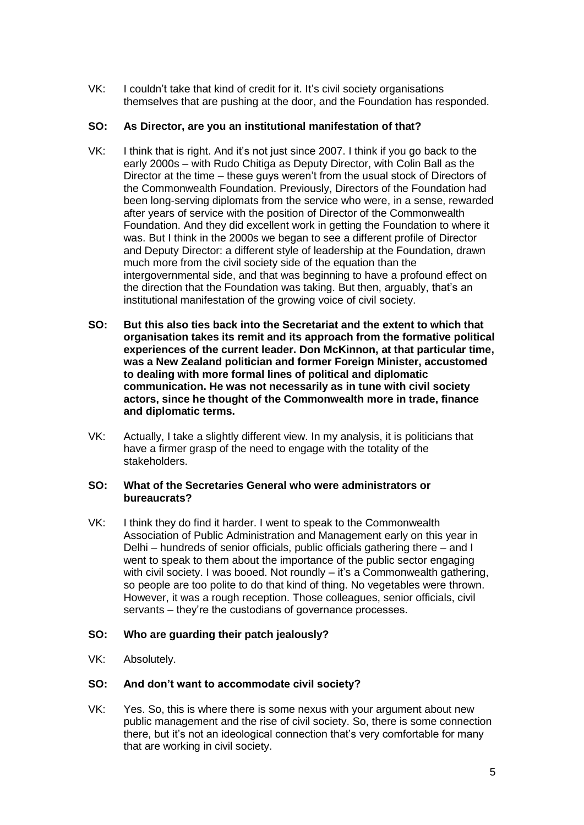VK: I couldn't take that kind of credit for it. It's civil society organisations themselves that are pushing at the door, and the Foundation has responded.

## **SO: As Director, are you an institutional manifestation of that?**

- VK: I think that is right. And it's not just since 2007. I think if you go back to the early 2000s – with Rudo Chitiga as Deputy Director, with Colin Ball as the Director at the time – these guys weren't from the usual stock of Directors of the Commonwealth Foundation. Previously, Directors of the Foundation had been long-serving diplomats from the service who were, in a sense, rewarded after years of service with the position of Director of the Commonwealth Foundation. And they did excellent work in getting the Foundation to where it was. But I think in the 2000s we began to see a different profile of Director and Deputy Director: a different style of leadership at the Foundation, drawn much more from the civil society side of the equation than the intergovernmental side, and that was beginning to have a profound effect on the direction that the Foundation was taking. But then, arguably, that's an institutional manifestation of the growing voice of civil society.
- **SO: But this also ties back into the Secretariat and the extent to which that organisation takes its remit and its approach from the formative political experiences of the current leader. Don McKinnon, at that particular time, was a New Zealand politician and former Foreign Minister, accustomed to dealing with more formal lines of political and diplomatic communication. He was not necessarily as in tune with civil society actors, since he thought of the Commonwealth more in trade, finance and diplomatic terms.**
- VK: Actually, I take a slightly different view. In my analysis, it is politicians that have a firmer grasp of the need to engage with the totality of the stakeholders.

## **SO: What of the Secretaries General who were administrators or bureaucrats?**

VK: I think they do find it harder. I went to speak to the Commonwealth Association of Public Administration and Management early on this year in Delhi – hundreds of senior officials, public officials gathering there – and I went to speak to them about the importance of the public sector engaging with civil society. I was booed. Not roundly – it's a Commonwealth gathering, so people are too polite to do that kind of thing. No vegetables were thrown. However, it was a rough reception. Those colleagues, senior officials, civil servants – they're the custodians of governance processes.

## **SO: Who are guarding their patch jealously?**

VK: Absolutely.

## **SO: And don't want to accommodate civil society?**

VK: Yes. So, this is where there is some nexus with your argument about new public management and the rise of civil society. So, there is some connection there, but it's not an ideological connection that's very comfortable for many that are working in civil society.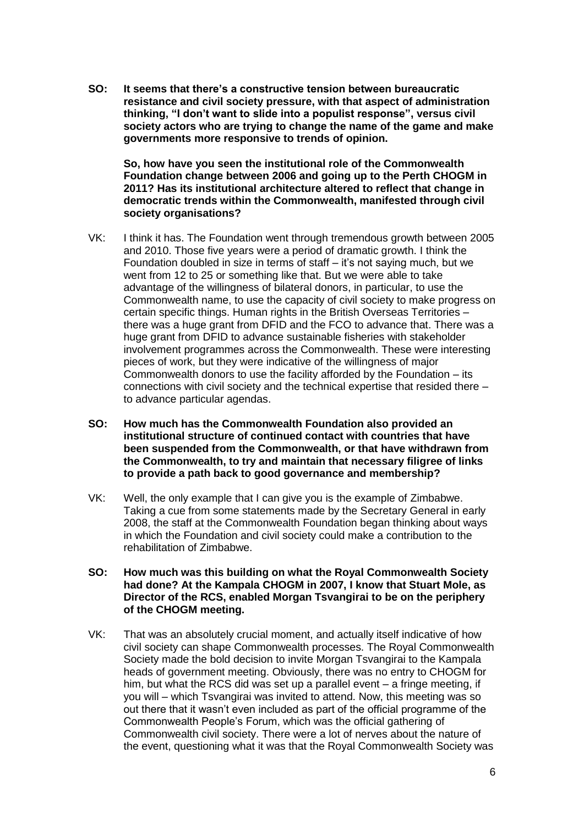**SO: It seems that there's a constructive tension between bureaucratic resistance and civil society pressure, with that aspect of administration thinking, "I don't want to slide into a populist response", versus civil society actors who are trying to change the name of the game and make governments more responsive to trends of opinion.**

**So, how have you seen the institutional role of the Commonwealth Foundation change between 2006 and going up to the Perth CHOGM in 2011? Has its institutional architecture altered to reflect that change in democratic trends within the Commonwealth, manifested through civil society organisations?**

- VK: I think it has. The Foundation went through tremendous growth between 2005 and 2010. Those five years were a period of dramatic growth. I think the Foundation doubled in size in terms of staff – it's not saying much, but we went from 12 to 25 or something like that. But we were able to take advantage of the willingness of bilateral donors, in particular, to use the Commonwealth name, to use the capacity of civil society to make progress on certain specific things. Human rights in the British Overseas Territories – there was a huge grant from DFID and the FCO to advance that. There was a huge grant from DFID to advance sustainable fisheries with stakeholder involvement programmes across the Commonwealth. These were interesting pieces of work, but they were indicative of the willingness of major Commonwealth donors to use the facility afforded by the Foundation – its connections with civil society and the technical expertise that resided there – to advance particular agendas.
- **SO: How much has the Commonwealth Foundation also provided an institutional structure of continued contact with countries that have been suspended from the Commonwealth, or that have withdrawn from the Commonwealth, to try and maintain that necessary filigree of links to provide a path back to good governance and membership?**
- VK: Well, the only example that I can give you is the example of Zimbabwe. Taking a cue from some statements made by the Secretary General in early 2008, the staff at the Commonwealth Foundation began thinking about ways in which the Foundation and civil society could make a contribution to the rehabilitation of Zimbabwe.
- **SO: How much was this building on what the Royal Commonwealth Society had done? At the Kampala CHOGM in 2007, I know that Stuart Mole, as Director of the RCS, enabled Morgan Tsvangirai to be on the periphery of the CHOGM meeting.**
- VK: That was an absolutely crucial moment, and actually itself indicative of how civil society can shape Commonwealth processes. The Royal Commonwealth Society made the bold decision to invite Morgan Tsvangirai to the Kampala heads of government meeting. Obviously, there was no entry to CHOGM for him, but what the RCS did was set up a parallel event – a fringe meeting, if you will – which Tsvangirai was invited to attend. Now, this meeting was so out there that it wasn't even included as part of the official programme of the Commonwealth People's Forum, which was the official gathering of Commonwealth civil society. There were a lot of nerves about the nature of the event, questioning what it was that the Royal Commonwealth Society was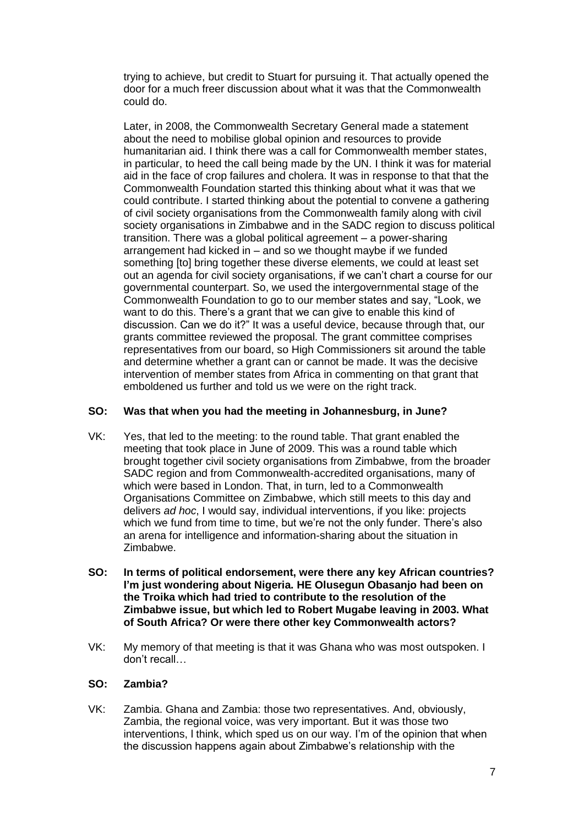trying to achieve, but credit to Stuart for pursuing it. That actually opened the door for a much freer discussion about what it was that the Commonwealth could do.

Later, in 2008, the Commonwealth Secretary General made a statement about the need to mobilise global opinion and resources to provide humanitarian aid. I think there was a call for Commonwealth member states, in particular, to heed the call being made by the UN. I think it was for material aid in the face of crop failures and cholera. It was in response to that that the Commonwealth Foundation started this thinking about what it was that we could contribute. I started thinking about the potential to convene a gathering of civil society organisations from the Commonwealth family along with civil society organisations in Zimbabwe and in the SADC region to discuss political transition. There was a global political agreement – a power-sharing arrangement had kicked in – and so we thought maybe if we funded something [to] bring together these diverse elements, we could at least set out an agenda for civil society organisations, if we can't chart a course for our governmental counterpart. So, we used the intergovernmental stage of the Commonwealth Foundation to go to our member states and say, "Look, we want to do this. There's a grant that we can give to enable this kind of discussion. Can we do it?" It was a useful device, because through that, our grants committee reviewed the proposal. The grant committee comprises representatives from our board, so High Commissioners sit around the table and determine whether a grant can or cannot be made. It was the decisive intervention of member states from Africa in commenting on that grant that emboldened us further and told us we were on the right track.

## **SO: Was that when you had the meeting in Johannesburg, in June?**

- VK: Yes, that led to the meeting: to the round table. That grant enabled the meeting that took place in June of 2009. This was a round table which brought together civil society organisations from Zimbabwe, from the broader SADC region and from Commonwealth-accredited organisations, many of which were based in London. That, in turn, led to a Commonwealth Organisations Committee on Zimbabwe, which still meets to this day and delivers *ad hoc*, I would say, individual interventions, if you like: projects which we fund from time to time, but we're not the only funder. There's also an arena for intelligence and information-sharing about the situation in Zimbabwe.
- **SO: In terms of political endorsement, were there any key African countries? I'm just wondering about Nigeria. HE Olusegun Obasanjo had been on the Troika which had tried to contribute to the resolution of the Zimbabwe issue, but which led to Robert Mugabe leaving in 2003. What of South Africa? Or were there other key Commonwealth actors?**
- VK: My memory of that meeting is that it was Ghana who was most outspoken. I don't recall…

## **SO: Zambia?**

VK: Zambia. Ghana and Zambia: those two representatives. And, obviously, Zambia, the regional voice, was very important. But it was those two interventions, l think, which sped us on our way. I'm of the opinion that when the discussion happens again about Zimbabwe's relationship with the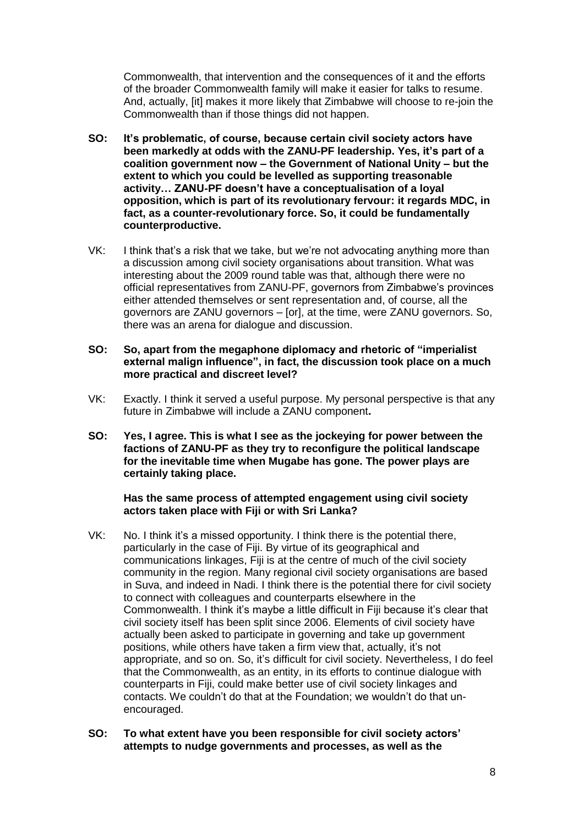Commonwealth, that intervention and the consequences of it and the efforts of the broader Commonwealth family will make it easier for talks to resume. And, actually, [it] makes it more likely that Zimbabwe will choose to re-join the Commonwealth than if those things did not happen.

- **SO: It's problematic, of course, because certain civil society actors have been markedly at odds with the ZANU-PF leadership. Yes, it's part of a coalition government now – the Government of National Unity – but the extent to which you could be levelled as supporting treasonable activity… ZANU-PF doesn't have a conceptualisation of a loyal opposition, which is part of its revolutionary fervour: it regards MDC, in fact, as a counter-revolutionary force. So, it could be fundamentally counterproductive.**
- VK: I think that's a risk that we take, but we're not advocating anything more than a discussion among civil society organisations about transition. What was interesting about the 2009 round table was that, although there were no official representatives from ZANU-PF, governors from Zimbabwe's provinces either attended themselves or sent representation and, of course, all the governors are ZANU governors – [or], at the time, were ZANU governors. So, there was an arena for dialogue and discussion.
- **SO: So, apart from the megaphone diplomacy and rhetoric of "imperialist external malign influence", in fact, the discussion took place on a much more practical and discreet level?**
- VK: Exactly. I think it served a useful purpose. My personal perspective is that any future in Zimbabwe will include a ZANU component**.**
- **SO: Yes, I agree. This is what I see as the jockeying for power between the factions of ZANU-PF as they try to reconfigure the political landscape for the inevitable time when Mugabe has gone. The power plays are certainly taking place.**

#### **Has the same process of attempted engagement using civil society actors taken place with Fiji or with Sri Lanka?**

- VK: No. I think it's a missed opportunity. I think there is the potential there, particularly in the case of Fiji. By virtue of its geographical and communications linkages, Fiji is at the centre of much of the civil society community in the region. Many regional civil society organisations are based in Suva, and indeed in Nadi. I think there is the potential there for civil society to connect with colleagues and counterparts elsewhere in the Commonwealth. I think it's maybe a little difficult in Fiji because it's clear that civil society itself has been split since 2006. Elements of civil society have actually been asked to participate in governing and take up government positions, while others have taken a firm view that, actually, it's not appropriate, and so on. So, it's difficult for civil society. Nevertheless, I do feel that the Commonwealth, as an entity, in its efforts to continue dialogue with counterparts in Fiji, could make better use of civil society linkages and contacts. We couldn't do that at the Foundation; we wouldn't do that unencouraged.
- **SO: To what extent have you been responsible for civil society actors' attempts to nudge governments and processes, as well as the**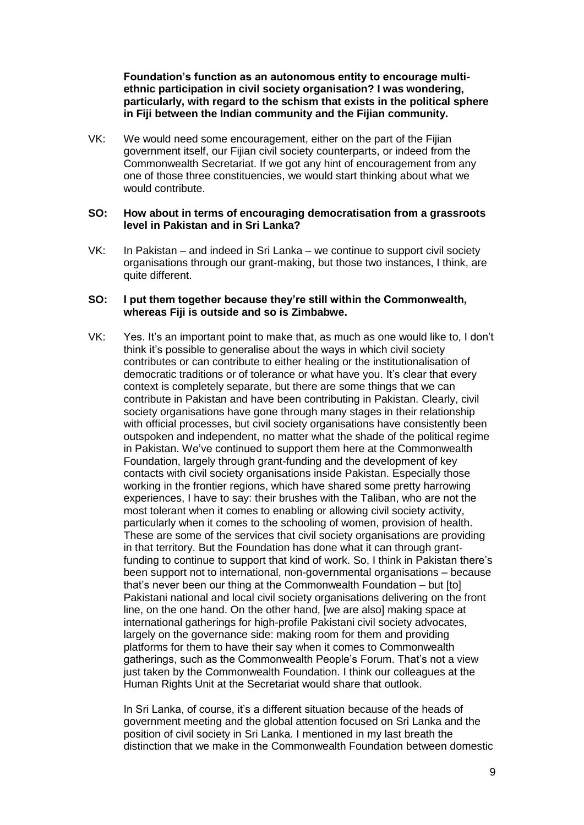**Foundation's function as an autonomous entity to encourage multiethnic participation in civil society organisation? I was wondering, particularly, with regard to the schism that exists in the political sphere in Fiji between the Indian community and the Fijian community.**

VK: We would need some encouragement, either on the part of the Fijian government itself, our Fijian civil society counterparts, or indeed from the Commonwealth Secretariat. If we got any hint of encouragement from any one of those three constituencies, we would start thinking about what we would contribute.

#### **SO: How about in terms of encouraging democratisation from a grassroots level in Pakistan and in Sri Lanka?**

VK: In Pakistan – and indeed in Sri Lanka – we continue to support civil society organisations through our grant-making, but those two instances, I think, are quite different.

#### **SO: I put them together because they're still within the Commonwealth, whereas Fiji is outside and so is Zimbabwe.**

VK: Yes. It's an important point to make that, as much as one would like to, I don't think it's possible to generalise about the ways in which civil society contributes or can contribute to either healing or the institutionalisation of democratic traditions or of tolerance or what have you. It's clear that every context is completely separate, but there are some things that we can contribute in Pakistan and have been contributing in Pakistan. Clearly, civil society organisations have gone through many stages in their relationship with official processes, but civil society organisations have consistently been outspoken and independent, no matter what the shade of the political regime in Pakistan. We've continued to support them here at the Commonwealth Foundation, largely through grant-funding and the development of key contacts with civil society organisations inside Pakistan. Especially those working in the frontier regions, which have shared some pretty harrowing experiences, I have to say: their brushes with the Taliban, who are not the most tolerant when it comes to enabling or allowing civil society activity, particularly when it comes to the schooling of women, provision of health. These are some of the services that civil society organisations are providing in that territory. But the Foundation has done what it can through grantfunding to continue to support that kind of work. So, I think in Pakistan there's been support not to international, non-governmental organisations – because that's never been our thing at the Commonwealth Foundation – but [to] Pakistani national and local civil society organisations delivering on the front line, on the one hand. On the other hand, [we are also] making space at international gatherings for high-profile Pakistani civil society advocates, largely on the governance side: making room for them and providing platforms for them to have their say when it comes to Commonwealth gatherings, such as the Commonwealth People's Forum. That's not a view just taken by the Commonwealth Foundation. I think our colleagues at the Human Rights Unit at the Secretariat would share that outlook.

In Sri Lanka, of course, it's a different situation because of the heads of government meeting and the global attention focused on Sri Lanka and the position of civil society in Sri Lanka. I mentioned in my last breath the distinction that we make in the Commonwealth Foundation between domestic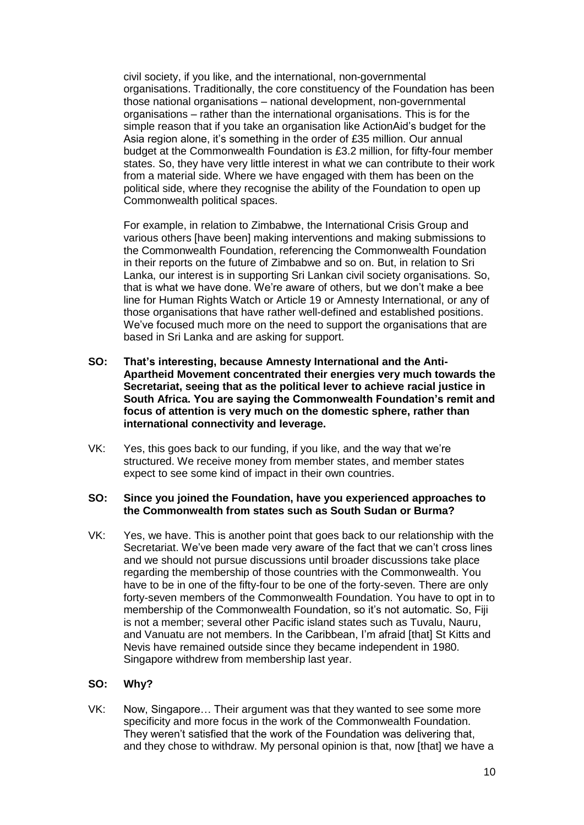civil society, if you like, and the international, non-governmental organisations. Traditionally, the core constituency of the Foundation has been those national organisations – national development, non-governmental organisations – rather than the international organisations. This is for the simple reason that if you take an organisation like ActionAid's budget for the Asia region alone, it's something in the order of £35 million. Our annual budget at the Commonwealth Foundation is £3.2 million, for fifty-four member states. So, they have very little interest in what we can contribute to their work from a material side. Where we have engaged with them has been on the political side, where they recognise the ability of the Foundation to open up Commonwealth political spaces.

For example, in relation to Zimbabwe, the International Crisis Group and various others [have been] making interventions and making submissions to the Commonwealth Foundation, referencing the Commonwealth Foundation in their reports on the future of Zimbabwe and so on. But, in relation to Sri Lanka, our interest is in supporting Sri Lankan civil society organisations. So, that is what we have done. We're aware of others, but we don't make a bee line for Human Rights Watch or Article 19 or Amnesty International, or any of those organisations that have rather well-defined and established positions. We've focused much more on the need to support the organisations that are based in Sri Lanka and are asking for support.

- **SO: That's interesting, because Amnesty International and the Anti-Apartheid Movement concentrated their energies very much towards the Secretariat, seeing that as the political lever to achieve racial justice in South Africa. You are saying the Commonwealth Foundation's remit and focus of attention is very much on the domestic sphere, rather than international connectivity and leverage.**
- VK: Yes, this goes back to our funding, if you like, and the way that we're structured. We receive money from member states, and member states expect to see some kind of impact in their own countries.

#### **SO: Since you joined the Foundation, have you experienced approaches to the Commonwealth from states such as South Sudan or Burma?**

VK: Yes, we have. This is another point that goes back to our relationship with the Secretariat. We've been made very aware of the fact that we can't cross lines and we should not pursue discussions until broader discussions take place regarding the membership of those countries with the Commonwealth. You have to be in one of the fifty-four to be one of the forty-seven. There are only forty-seven members of the Commonwealth Foundation. You have to opt in to membership of the Commonwealth Foundation, so it's not automatic. So, Fiji is not a member; several other Pacific island states such as Tuvalu, Nauru, and Vanuatu are not members. In the Caribbean, I'm afraid [that] St Kitts and Nevis have remained outside since they became independent in 1980. Singapore withdrew from membership last year.

## **SO: Why?**

VK: Now, Singapore… Their argument was that they wanted to see some more specificity and more focus in the work of the Commonwealth Foundation. They weren't satisfied that the work of the Foundation was delivering that, and they chose to withdraw. My personal opinion is that, now [that] we have a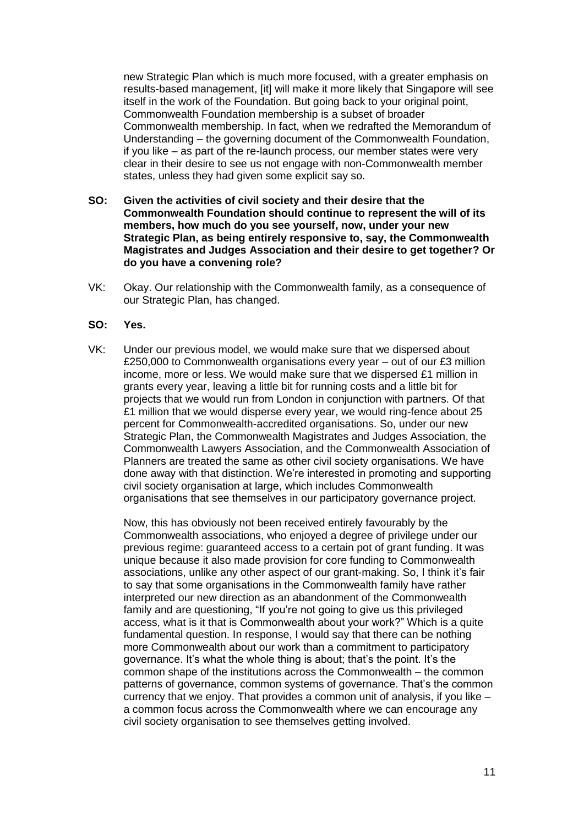new Strategic Plan which is much more focused, with a greater emphasis on results-based management, [it] will make it more likely that Singapore will see itself in the work of the Foundation. But going back to your original point, Commonwealth Foundation membership is a subset of broader Commonwealth membership. In fact, when we redrafted the Memorandum of Understanding – the governing document of the Commonwealth Foundation, if you like – as part of the re-launch process, our member states were very clear in their desire to see us not engage with non-Commonwealth member states, unless they had given some explicit say so.

- **SO: Given the activities of civil society and their desire that the Commonwealth Foundation should continue to represent the will of its members, how much do you see yourself, now, under your new Strategic Plan, as being entirely responsive to, say, the Commonwealth Magistrates and Judges Association and their desire to get together? Or do you have a convening role?**
- VK: Okay. Our relationship with the Commonwealth family, as a consequence of our Strategic Plan, has changed.

#### **SO: Yes.**

VK: Under our previous model, we would make sure that we dispersed about £250,000 to Commonwealth organisations every year – out of our £3 million income, more or less. We would make sure that we dispersed £1 million in grants every year, leaving a little bit for running costs and a little bit for projects that we would run from London in conjunction with partners. Of that £1 million that we would disperse every year, we would ring-fence about 25 percent for Commonwealth-accredited organisations. So, under our new Strategic Plan, the Commonwealth Magistrates and Judges Association, the Commonwealth Lawyers Association, and the Commonwealth Association of Planners are treated the same as other civil society organisations. We have done away with that distinction. We're interested in promoting and supporting civil society organisation at large, which includes Commonwealth organisations that see themselves in our participatory governance project.

Now, this has obviously not been received entirely favourably by the Commonwealth associations, who enjoyed a degree of privilege under our previous regime: guaranteed access to a certain pot of grant funding. It was unique because it also made provision for core funding to Commonwealth associations, unlike any other aspect of our grant-making. So, I think it's fair to say that some organisations in the Commonwealth family have rather interpreted our new direction as an abandonment of the Commonwealth family and are questioning, "If you're not going to give us this privileged access, what is it that is Commonwealth about your work?" Which is a quite fundamental question. In response, I would say that there can be nothing more Commonwealth about our work than a commitment to participatory governance. It's what the whole thing is about; that's the point. It's the common shape of the institutions across the Commonwealth – the common patterns of governance, common systems of governance. That's the common currency that we enjoy. That provides a common unit of analysis, if you like – a common focus across the Commonwealth where we can encourage any civil society organisation to see themselves getting involved.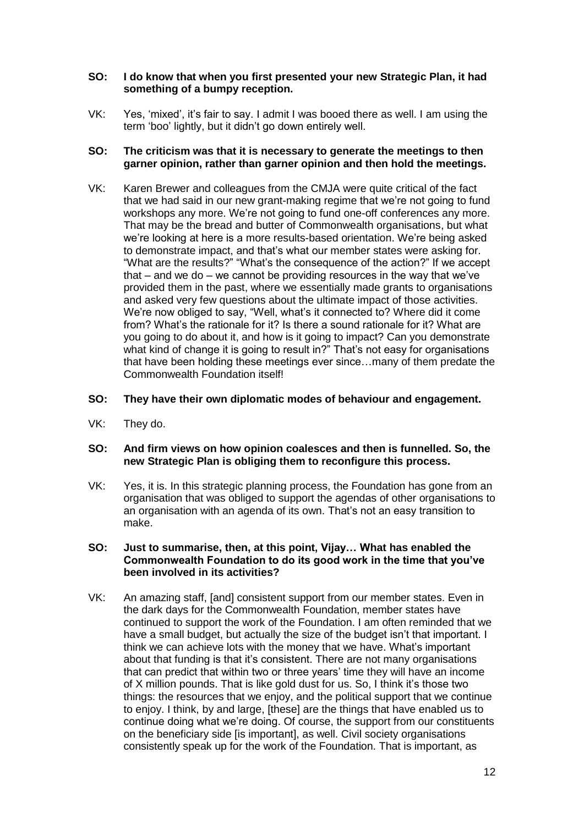## **SO: I do know that when you first presented your new Strategic Plan, it had something of a bumpy reception.**

VK: Yes, 'mixed', it's fair to say. I admit I was booed there as well. I am using the term 'boo' lightly, but it didn't go down entirely well.

## **SO: The criticism was that it is necessary to generate the meetings to then garner opinion, rather than garner opinion and then hold the meetings.**

VK: Karen Brewer and colleagues from the CMJA were quite critical of the fact that we had said in our new grant-making regime that we're not going to fund workshops any more. We're not going to fund one-off conferences any more. That may be the bread and butter of Commonwealth organisations, but what we're looking at here is a more results-based orientation. We're being asked to demonstrate impact, and that's what our member states were asking for. "What are the results?" "What's the consequence of the action?" If we accept that – and we do – we cannot be providing resources in the way that we've provided them in the past, where we essentially made grants to organisations and asked very few questions about the ultimate impact of those activities. We're now obliged to say, "Well, what's it connected to? Where did it come from? What's the rationale for it? Is there a sound rationale for it? What are you going to do about it, and how is it going to impact? Can you demonstrate what kind of change it is going to result in?" That's not easy for organisations that have been holding these meetings ever since…many of them predate the Commonwealth Foundation itself!

#### **SO: They have their own diplomatic modes of behaviour and engagement.**

VK: They do.

#### **SO: And firm views on how opinion coalesces and then is funnelled. So, the new Strategic Plan is obliging them to reconfigure this process.**

VK: Yes, it is. In this strategic planning process, the Foundation has gone from an organisation that was obliged to support the agendas of other organisations to an organisation with an agenda of its own. That's not an easy transition to make.

#### **SO: Just to summarise, then, at this point, Vijay… What has enabled the Commonwealth Foundation to do its good work in the time that you've been involved in its activities?**

VK: An amazing staff, [and] consistent support from our member states. Even in the dark days for the Commonwealth Foundation, member states have continued to support the work of the Foundation. I am often reminded that we have a small budget, but actually the size of the budget isn't that important. I think we can achieve lots with the money that we have. What's important about that funding is that it's consistent. There are not many organisations that can predict that within two or three years' time they will have an income of X million pounds. That is like gold dust for us. So, I think it's those two things: the resources that we enjoy, and the political support that we continue to enjoy. I think, by and large, [these] are the things that have enabled us to continue doing what we're doing. Of course, the support from our constituents on the beneficiary side [is important], as well. Civil society organisations consistently speak up for the work of the Foundation. That is important, as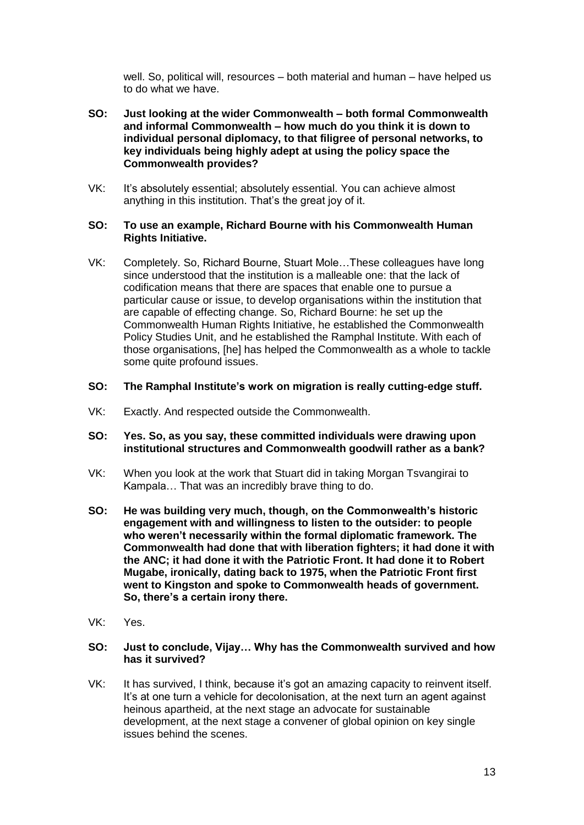well. So, political will, resources – both material and human – have helped us to do what we have.

- **SO: Just looking at the wider Commonwealth – both formal Commonwealth and informal Commonwealth – how much do you think it is down to individual personal diplomacy, to that filigree of personal networks, to key individuals being highly adept at using the policy space the Commonwealth provides?**
- VK: It's absolutely essential; absolutely essential. You can achieve almost anything in this institution. That's the great joy of it.

#### **SO: To use an example, Richard Bourne with his Commonwealth Human Rights Initiative.**

- VK: Completely. So, Richard Bourne, Stuart Mole…These colleagues have long since understood that the institution is a malleable one: that the lack of codification means that there are spaces that enable one to pursue a particular cause or issue, to develop organisations within the institution that are capable of effecting change. So, Richard Bourne: he set up the Commonwealth Human Rights Initiative, he established the Commonwealth Policy Studies Unit, and he established the Ramphal Institute. With each of those organisations, [he] has helped the Commonwealth as a whole to tackle some quite profound issues.
- **SO: The Ramphal Institute's work on migration is really cutting-edge stuff.**
- VK: Exactly. And respected outside the Commonwealth.
- **SO: Yes. So, as you say, these committed individuals were drawing upon institutional structures and Commonwealth goodwill rather as a bank?**
- VK: When you look at the work that Stuart did in taking Morgan Tsvangirai to Kampala… That was an incredibly brave thing to do.
- **SO: He was building very much, though, on the Commonwealth's historic engagement with and willingness to listen to the outsider: to people who weren't necessarily within the formal diplomatic framework. The Commonwealth had done that with liberation fighters; it had done it with the ANC; it had done it with the Patriotic Front. It had done it to Robert Mugabe, ironically, dating back to 1975, when the Patriotic Front first went to Kingston and spoke to Commonwealth heads of government. So, there's a certain irony there.**
- VK: Yes.

#### **SO: Just to conclude, Vijay… Why has the Commonwealth survived and how has it survived?**

VK: It has survived, I think, because it's got an amazing capacity to reinvent itself. It's at one turn a vehicle for decolonisation, at the next turn an agent against heinous apartheid, at the next stage an advocate for sustainable development, at the next stage a convener of global opinion on key single issues behind the scenes.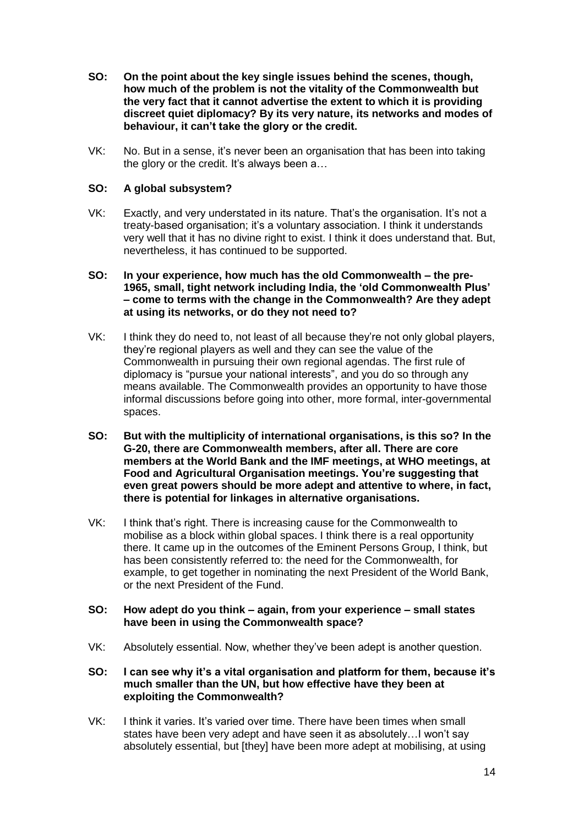- **SO: On the point about the key single issues behind the scenes, though, how much of the problem is not the vitality of the Commonwealth but the very fact that it cannot advertise the extent to which it is providing discreet quiet diplomacy? By its very nature, its networks and modes of behaviour, it can't take the glory or the credit.**
- VK: No. But in a sense, it's never been an organisation that has been into taking the glory or the credit. It's always been a…

## **SO: A global subsystem?**

VK: Exactly, and very understated in its nature. That's the organisation. It's not a treaty-based organisation; it's a voluntary association. I think it understands very well that it has no divine right to exist. I think it does understand that. But, nevertheless, it has continued to be supported.

#### **SO: In your experience, how much has the old Commonwealth – the pre-1965, small, tight network including India, the 'old Commonwealth Plus' – come to terms with the change in the Commonwealth? Are they adept at using its networks, or do they not need to?**

- VK: I think they do need to, not least of all because they're not only global players, they're regional players as well and they can see the value of the Commonwealth in pursuing their own regional agendas. The first rule of diplomacy is "pursue your national interests", and you do so through any means available. The Commonwealth provides an opportunity to have those informal discussions before going into other, more formal, inter-governmental spaces.
- **SO: But with the multiplicity of international organisations, is this so? In the G-20, there are Commonwealth members, after all. There are core members at the World Bank and the IMF meetings, at WHO meetings, at Food and Agricultural Organisation meetings. You're suggesting that even great powers should be more adept and attentive to where, in fact, there is potential for linkages in alternative organisations.**
- VK: I think that's right. There is increasing cause for the Commonwealth to mobilise as a block within global spaces. I think there is a real opportunity there. It came up in the outcomes of the Eminent Persons Group, I think, but has been consistently referred to: the need for the Commonwealth, for example, to get together in nominating the next President of the World Bank, or the next President of the Fund.

#### **SO: How adept do you think – again, from your experience – small states have been in using the Commonwealth space?**

- VK: Absolutely essential. Now, whether they've been adept is another question.
- **SO: I can see why it's a vital organisation and platform for them, because it's much smaller than the UN, but how effective have they been at exploiting the Commonwealth?**
- VK: I think it varies. It's varied over time. There have been times when small states have been very adept and have seen it as absolutely…I won't say absolutely essential, but [they] have been more adept at mobilising, at using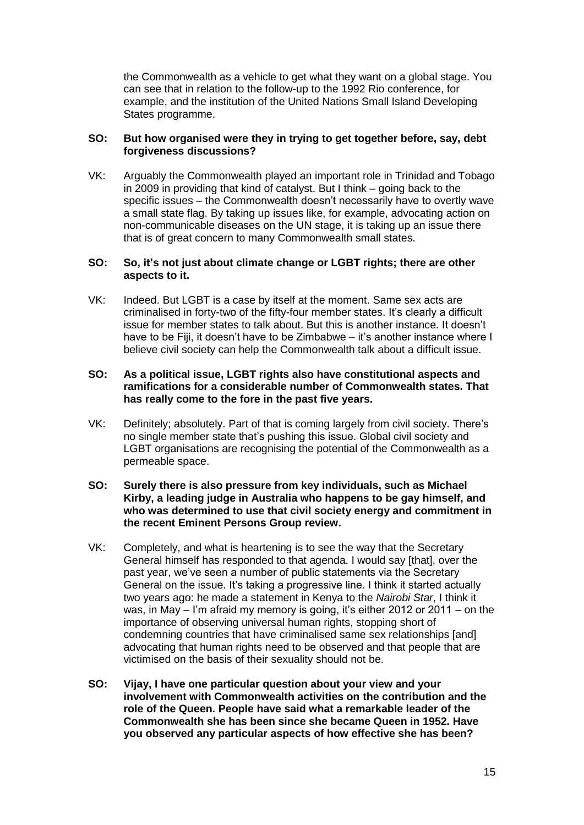the Commonwealth as a vehicle to get what they want on a global stage. You can see that in relation to the follow-up to the 1992 Rio conference, for example, and the institution of the United Nations Small Island Developing States programme.

## **SO: But how organised were they in trying to get together before, say, debt forgiveness discussions?**

VK: Arguably the Commonwealth played an important role in Trinidad and Tobago in 2009 in providing that kind of catalyst. But I think – going back to the specific issues – the Commonwealth doesn't necessarily have to overtly wave a small state flag. By taking up issues like, for example, advocating action on non-communicable diseases on the UN stage, it is taking up an issue there that is of great concern to many Commonwealth small states.

## **SO: So, it's not just about climate change or LGBT rights; there are other aspects to it.**

VK: Indeed. But LGBT is a case by itself at the moment. Same sex acts are criminalised in forty-two of the fifty-four member states. It's clearly a difficult issue for member states to talk about. But this is another instance. It doesn't have to be Fiji, it doesn't have to be Zimbabwe – it's another instance where I believe civil society can help the Commonwealth talk about a difficult issue.

#### **SO: As a political issue, LGBT rights also have constitutional aspects and ramifications for a considerable number of Commonwealth states. That has really come to the fore in the past five years.**

VK: Definitely; absolutely. Part of that is coming largely from civil society. There's no single member state that's pushing this issue. Global civil society and LGBT organisations are recognising the potential of the Commonwealth as a permeable space.

#### **SO: Surely there is also pressure from key individuals, such as Michael Kirby, a leading judge in Australia who happens to be gay himself, and who was determined to use that civil society energy and commitment in the recent Eminent Persons Group review.**

- VK: Completely, and what is heartening is to see the way that the Secretary General himself has responded to that agenda. I would say [that], over the past year, we've seen a number of public statements via the Secretary General on the issue. It's taking a progressive line. I think it started actually two years ago: he made a statement in Kenya to the *Nairobi Star*, I think it was, in May – I'm afraid my memory is going, it's either 2012 or 2011 – on the importance of observing universal human rights, stopping short of condemning countries that have criminalised same sex relationships [and] advocating that human rights need to be observed and that people that are victimised on the basis of their sexuality should not be.
- **SO: Vijay, I have one particular question about your view and your involvement with Commonwealth activities on the contribution and the role of the Queen. People have said what a remarkable leader of the Commonwealth she has been since she became Queen in 1952. Have you observed any particular aspects of how effective she has been?**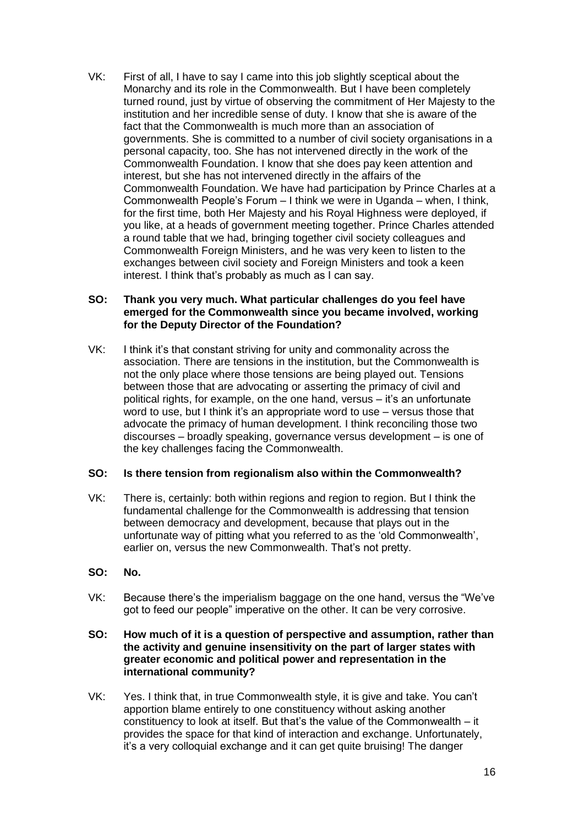VK: First of all, I have to say I came into this job slightly sceptical about the Monarchy and its role in the Commonwealth. But I have been completely turned round, just by virtue of observing the commitment of Her Majesty to the institution and her incredible sense of duty. I know that she is aware of the fact that the Commonwealth is much more than an association of governments. She is committed to a number of civil society organisations in a personal capacity, too. She has not intervened directly in the work of the Commonwealth Foundation. I know that she does pay keen attention and interest, but she has not intervened directly in the affairs of the Commonwealth Foundation. We have had participation by Prince Charles at a Commonwealth People's Forum – I think we were in Uganda – when, I think, for the first time, both Her Majesty and his Royal Highness were deployed, if you like, at a heads of government meeting together. Prince Charles attended a round table that we had, bringing together civil society colleagues and Commonwealth Foreign Ministers, and he was very keen to listen to the exchanges between civil society and Foreign Ministers and took a keen interest. I think that's probably as much as I can say.

## **SO: Thank you very much. What particular challenges do you feel have emerged for the Commonwealth since you became involved, working for the Deputy Director of the Foundation?**

VK: I think it's that constant striving for unity and commonality across the association. There are tensions in the institution, but the Commonwealth is not the only place where those tensions are being played out. Tensions between those that are advocating or asserting the primacy of civil and political rights, for example, on the one hand, versus – it's an unfortunate word to use, but I think it's an appropriate word to use – versus those that advocate the primacy of human development. I think reconciling those two discourses – broadly speaking, governance versus development – is one of the key challenges facing the Commonwealth.

## **SO: Is there tension from regionalism also within the Commonwealth?**

- VK: There is, certainly: both within regions and region to region. But I think the fundamental challenge for the Commonwealth is addressing that tension between democracy and development, because that plays out in the unfortunate way of pitting what you referred to as the 'old Commonwealth', earlier on, versus the new Commonwealth. That's not pretty.
- **SO: No.**
- VK: Because there's the imperialism baggage on the one hand, versus the "We've got to feed our people" imperative on the other. It can be very corrosive.

#### **SO: How much of it is a question of perspective and assumption, rather than the activity and genuine insensitivity on the part of larger states with greater economic and political power and representation in the international community?**

VK: Yes. I think that, in true Commonwealth style, it is give and take. You can't apportion blame entirely to one constituency without asking another constituency to look at itself. But that's the value of the Commonwealth – it provides the space for that kind of interaction and exchange. Unfortunately, it's a very colloquial exchange and it can get quite bruising! The danger